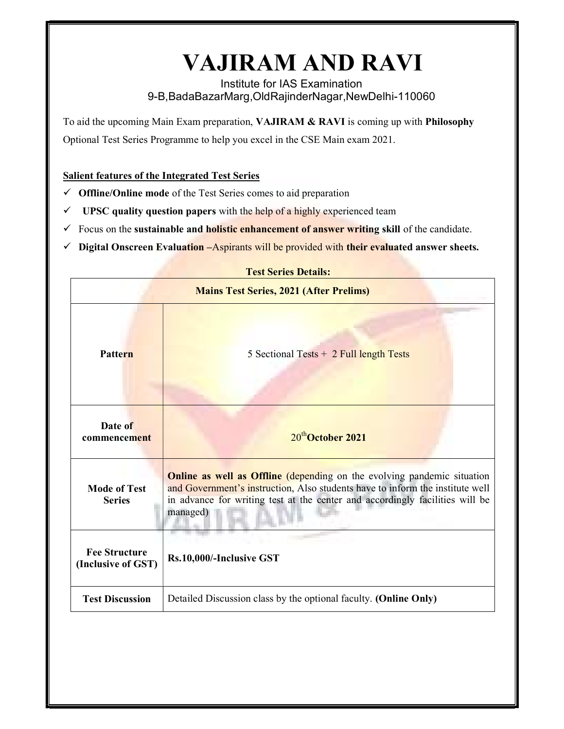## VAJIRAM AND RAVI

Institute for IAS Examination 9-B,BadaBazarMarg,OldRajinderNagar,NewDelhi-110060

To aid the upcoming Main Exam preparation, VAJIRAM & RAVI is coming up with Philosophy Optional Test Series Programme to help you excel in the CSE Main exam 2021.

## Salient features of the Integrated Test Series

- $\checkmark$  Offline/Online mode of the Test Series comes to aid preparation
- $\checkmark$  UPSC quality question papers with the help of a highly experienced team
- $\checkmark$  Focus on the sustainable and **holistic enhancement of answer writing skill** of the candidate.
- $\checkmark$  Digital Onscreen Evaluation –Aspirants will be provided with their evaluated answer sheets.

|                                                | <b>Test Series Details:</b>                                                                                                                                                                                                                                 |  |  |  |
|------------------------------------------------|-------------------------------------------------------------------------------------------------------------------------------------------------------------------------------------------------------------------------------------------------------------|--|--|--|
| <b>Mains Test Series, 2021 (After Prelims)</b> |                                                                                                                                                                                                                                                             |  |  |  |
| <b>Pattern</b>                                 | 5 Sectional Tests $+$ 2 Full length Tests                                                                                                                                                                                                                   |  |  |  |
| Date of<br>commencement                        | 20 <sup>th</sup> October 2021                                                                                                                                                                                                                               |  |  |  |
| <b>Mode of Test</b><br><b>Series</b>           | <b>Online as well as Offline</b> (depending on the evolving pandemic situation<br>and Government's instruction, Also students have to inform the institute well<br>in advance for writing test at the center and accordingly facilities will be<br>managed) |  |  |  |
| <b>Fee Structure</b><br>(Inclusive of GST)     | Rs.10,000/-Inclusive GST                                                                                                                                                                                                                                    |  |  |  |
| <b>Test Discussion</b>                         | Detailed Discussion class by the optional faculty. (Online Only)                                                                                                                                                                                            |  |  |  |